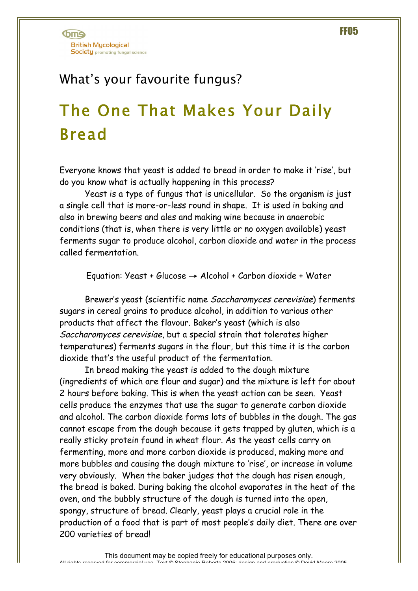## What's your favourite fungus?

## The One That Makes Your Daily Bread

Everyone knows that yeast is added to bread in order to make it 'rise', but do you know what is actually happening in this process?

Yeast is a type of fungus that is unicellular. So the organism is just a single cell that is more-or-less round in shape. It is used in baking and also in brewing beers and ales and making wine because in anaerobic conditions (that is, when there is very little or no oxygen available) yeast ferments sugar to produce alcohol, carbon dioxide and water in the process called fermentation.

Equation: Yeast + Glucose  $\rightarrow$  Alcohol + Carbon dioxide + Water

Brewer's yeast (scientific name Saccharomyces cerevisiae) ferments sugars in cereal grains to produce alcohol, in addition to various other products that affect the flavour. Baker's yeast (which is also Saccharomyces cerevisiae, but a special strain that tolerates higher temperatures) ferments sugars in the flour, but this time it is the carbon dioxide that's the useful product of the fermentation.

In bread making the yeast is added to the dough mixture (ingredients of which are flour and sugar) and the mixture is left for about 2 hours before baking. This is when the yeast action can be seen. Yeast cells produce the enzymes that use the sugar to generate carbon dioxide and alcohol. The carbon dioxide forms lots of bubbles in the dough. The gas cannot escape from the dough because it gets trapped by gluten, which is a really sticky protein found in wheat flour. As the yeast cells carry on fermenting, more and more carbon dioxide is produced, making more and more bubbles and causing the dough mixture to 'rise', or increase in volume very obviously. When the baker judges that the dough has risen enough, the bread is baked. During baking the alcohol evaporates in the heat of the oven, and the bubbly structure of the dough is turned into the open, spongy, structure of bread. Clearly, yeast plays a crucial role in the production of a food that is part of most people's daily diet. There are over 200 varieties of bread!